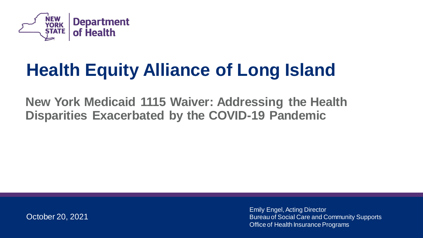

## **Health Equity Alliance of Long Island**

**New York Medicaid 1115 Waiver: Addressing the Health Disparities Exacerbated by the COVID-19 Pandemic**

October 20, 2021

Emily Engel, Acting Director Bureau of Social Care and Community Supports Office of Health Insurance Programs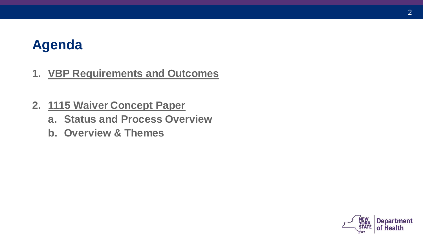#### **Agenda**

- **1. VBP Requirements and Outcomes**
- **2. 1115 Waiver Concept Paper**
	- **a. Status and Process Overview**
	- **b. Overview & Themes**

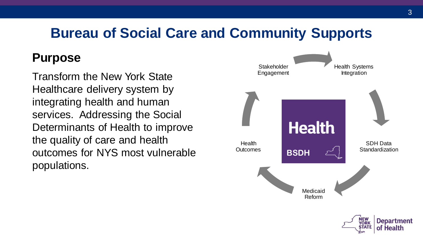### **Bureau of Social Care and Community Supports**

#### **Purpose**

Transform the New York State Healthcare delivery system by integrating health and human services. Addressing the Social Determinants of Health to improve the quality of care and health outcomes for NYS most vulnerable populations.

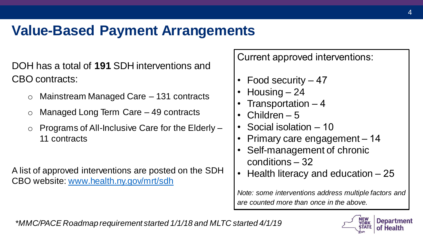### **Value-Based Payment Arrangements**

DOH has a total of **191** SDH interventions and CBO contracts:

- o Mainstream Managed Care 131 contracts
- Managed Long Term Care 49 contracts
- Programs of All-Inclusive Care for the Elderly -11 contracts

A list of approved interventions are posted on the SDH CBO website: [www.health.ny.gov/mrt/sdh](http://www.health.ny.gov/mrt/sdh)

Current approved interventions:

- Food security 47
- Housing 24
- Transportation 4
- Children  $-5$
- Social isolation 10
- Primary care engagement 14
- Self-management of chronic conditions – 32
- Health literacy and education 25

*Note: some interventions address multiple factors and are counted more than once in the above.*

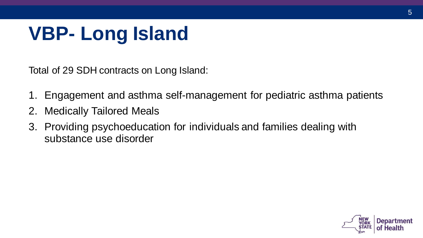# **VBP- Long Island**

Total of 29 SDH contracts on Long Island:

- 1. Engagement and asthma self-management for pediatric asthma patients
- 2. Medically Tailored Meals
- 3. Providing psychoeducation for individuals and families dealing with substance use disorder

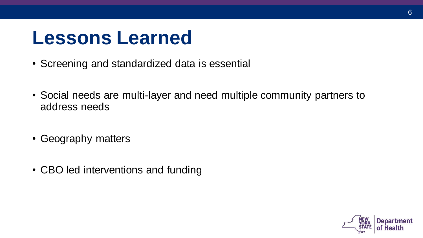### **Lessons Learned**

- Screening and standardized data is essential
- Social needs are multi-layer and need multiple community partners to address needs
- Geography matters
- CBO led interventions and funding

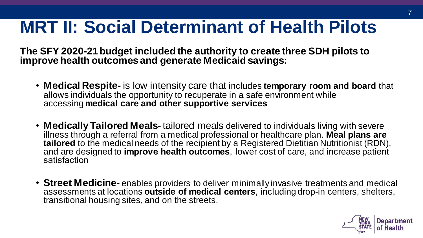### **MRT II: Social Determinant of Health Pilots**

**The SFY 2020-21 budget included the authority to create three SDH pilots to improve health outcomes and generate Medicaid savings:**

- **Medical Respite-** is low intensity care that includes **temporary room and board** that allows individuals the opportunity to recuperate in a safe environment while accessing **medical care and other supportive services**
- **Medically Tailored Meals** tailored meals delivered to individuals living with severe illness through a referral from a medical professional or healthcare plan. Meal plans are **tailored** to the medical needs of the recipient by a Registered Dietitian Nutritionist (RDN), and are designed to **improve health outcomes**, lower cost of care, and increase patient satisfaction
- **Street Medicine-** enables providers to deliver minimally invasive treatments and medical assessments at locations **outside of medical centers**, including drop-in centers, shelters, transitional housing sites, and on the streets.

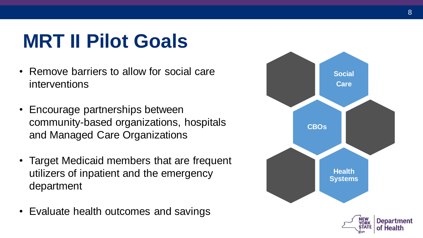# **MRT II Pilot Goals**

- Remove barriers to allow for social care interventions
- Encourage partnerships between community-based organizations, hospitals and Managed Care Organizations
- Target Medicaid members that are frequent utilizers of inpatient and the emergency department
- Evaluate health outcomes and savings



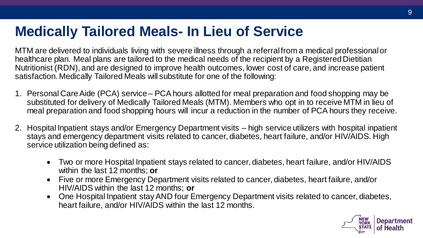#### **Medically Tailored Meals- In Lieu of Service**

MTM are delivered to individuals living with severe illness through a referral from a medical professional or healthcare plan. Meal plans are tailored to the medical needs of the recipient by a Registered Dietitian Nutritionist (RDN), and are designed to improve health outcomes, lower cost of care, and increase patient satisfaction. Medically Tailored Meals will substitute for one of the following:

- 1. Personal Care Aide (PCA) service PCA hours allotted for meal preparation and food shopping may be substituted for delivery of Medically Tailored Meals (MTM). Members who opt in to receive MTM in lieu of meal preparation and food shopping hours will incur a reduction in the number of PCA hours they receive.
- 2. Hospital Inpatient stays and/or Emergency Department visits high service utilizers with hospital inpatient stays and emergency department visits related to cancer, diabetes, heart failure, and/or HIV/AIDS. High service utilization being defined as:
	- Two or more Hospital Inpatient stays related to cancer, diabetes, heart failure, and/or HIV/AIDS within the last 12 months; **or**
	- Five or more Emergency Department visits related to cancer, diabetes, heart failure, and/or HIV/AIDS within the last 12 months; **or**
	- One Hospital Inpatient stay AND four Emergency Department visits related to cancer, diabetes, heart failure, and/or HIV/AIDS within the last 12 months.

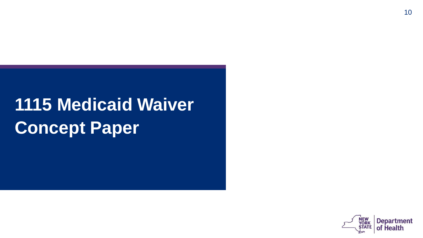# **1115 Medicaid Waiver Concept Paper**

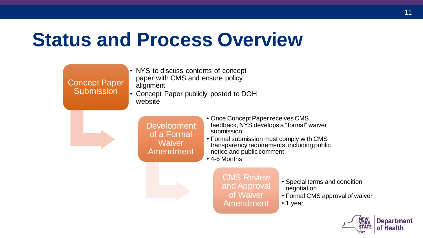### **Status and Process Overview**

Concept Paper **Submission** 

- NYS to discuss contents of concept paper with CMS and ensure policy alignment
- Concept Paper publicly posted to DOH website

Development of a Formal Waiver Amendment

- Once Concept Paper receives CMS feedback, NYS develops a "formal" waiver submission
- Formal submission must comply with CMS transparency requirements, including public notice and public comment
- 4-6 Months

CMS Review and Approval of Waiver Amendment

- Special terms and condition negotiation
- Formal CMS approval of waiver

• 1 year

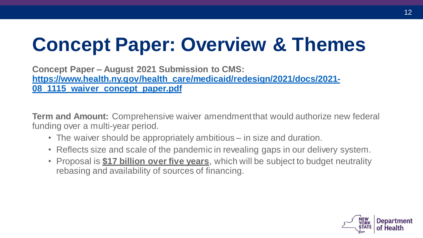# **Concept Paper: Overview & Themes**

**Concept Paper – August 2021 Submission to CMS: [https://www.health.ny.gov/health\\_care/medicaid/redesign/2021/docs/2021-](https://www.health.ny.gov/health_care/medicaid/redesign/2021/docs/2021-08_1115_waiver_concept_paper.pdf) 08\_1115\_waiver\_concept\_paper.pdf**

**Term and Amount:** Comprehensive waiver amendment that would authorize new federal funding over a multi-year period.

- The waiver should be appropriately ambitious in size and duration.
- Reflects size and scale of the pandemic in revealing gaps in our delivery system.
- Proposal is **\$17 billion over five years**, which will be subject to budget neutrality rebasing and availability of sources of financing.

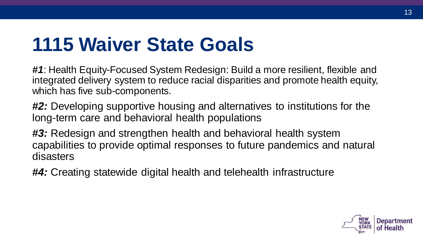### **1115 Waiver State Goals**

*#1*: Health Equity-Focused System Redesign: Build a more resilient, flexible and integrated delivery system to reduce racial disparities and promote health equity, which has five sub-components.

*#2:* Developing supportive housing and alternatives to institutions for the long-term care and behavioral health populations

*#3:* Redesign and strengthen health and behavioral health system capabilities to provide optimal responses to future pandemics and natural disasters

*#4:* Creating statewide digital health and telehealth infrastructure

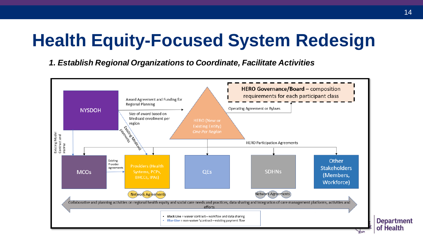*1. Establish Regional Organizations to Coordinate, Facilitate Activities*



**Department** of Health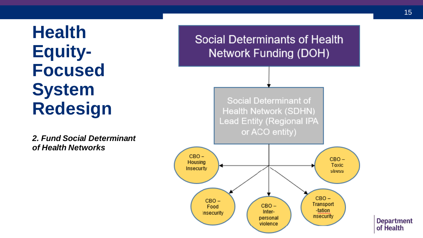*2. Fund Social Determinant of Health Networks*

**Social Determinants of Health Network Funding (DOH)** 

> **Social Determinant of Health Network (SDHN) Lead Entity (Regional IPA** or ACO entity)



**Department** of Health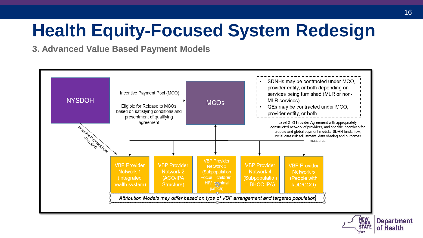**3. Advanced Value Based Payment Models**

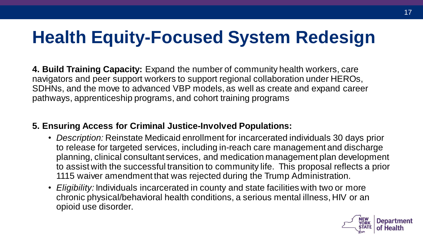**4. Build Training Capacity:** Expand the number of community health workers, care navigators and peer support workers to support regional collaboration under HEROs, SDHNs, and the move to advanced VBP models, as well as create and expand career pathways, apprenticeship programs, and cohort training programs

#### **5. Ensuring Access for Criminal Justice-Involved Populations:**

- *Description:* Reinstate Medicaid enrollment for incarcerated individuals 30 days prior to release for targeted services, including in-reach care management and discharge planning, clinical consultant services, and medication management plan development to assist with the successful transition to community life. This proposal reflects a prior 1115 waiver amendment that was rejected during the Trump Administration.
- *Eligibility:* Individuals incarcerated in county and state facilities with two or more chronic physical/behavioral health conditions, a serious mental illness, HIV or an opioid use disorder.